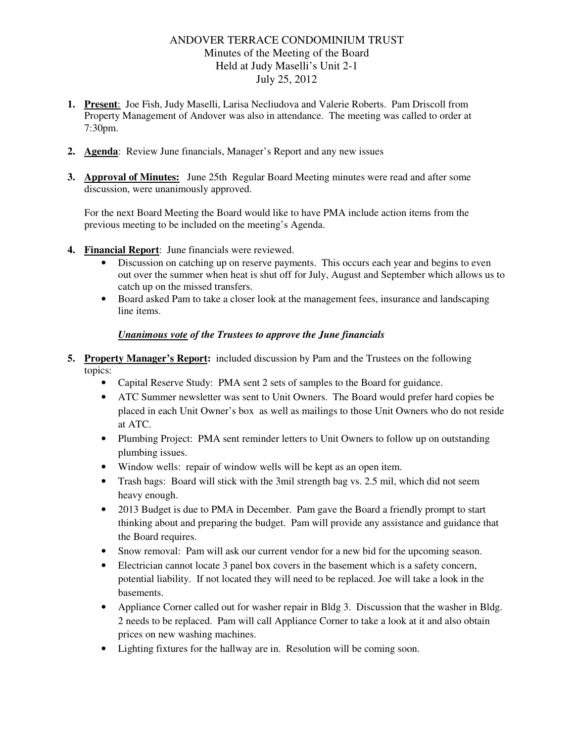# ANDOVER TERRACE CONDOMINIUM TRUST Minutes of the Meeting of the Board Held at Judy Maselli's Unit 2-1 July 25, 2012

- **1. Present**: Joe Fish, Judy Maselli, Larisa Necliudova and Valerie Roberts. Pam Driscoll from Property Management of Andover was also in attendance. The meeting was called to order at 7:30pm.
- **2. Agenda**: Review June financials, Manager's Report and any new issues
- **3. Approval of Minutes:** June 25th Regular Board Meeting minutes were read and after some discussion, were unanimously approved.

For the next Board Meeting the Board would like to have PMA include action items from the previous meeting to be included on the meeting's Agenda.

- **4. Financial Report**: June financials were reviewed.
	- Discussion on catching up on reserve payments. This occurs each year and begins to even out over the summer when heat is shut off for July, August and September which allows us to catch up on the missed transfers.
	- Board asked Pam to take a closer look at the management fees, insurance and landscaping line items.

#### *Unanimous vote of the Trustees to approve the June financials*

- **5. Property Manager's Report:** included discussion by Pam and the Trustees on the following topics:
	- Capital Reserve Study: PMA sent 2 sets of samples to the Board for guidance.
	- ATC Summer newsletter was sent to Unit Owners. The Board would prefer hard copies be placed in each Unit Owner's box as well as mailings to those Unit Owners who do not reside at ATC.
	- Plumbing Project: PMA sent reminder letters to Unit Owners to follow up on outstanding plumbing issues.
	- Window wells: repair of window wells will be kept as an open item.
	- Trash bags: Board will stick with the 3mil strength bag vs. 2.5 mil, which did not seem heavy enough.
	- 2013 Budget is due to PMA in December. Pam gave the Board a friendly prompt to start thinking about and preparing the budget. Pam will provide any assistance and guidance that the Board requires.
	- Snow removal: Pam will ask our current vendor for a new bid for the upcoming season.
	- Electrician cannot locate 3 panel box covers in the basement which is a safety concern, potential liability. If not located they will need to be replaced. Joe will take a look in the basements.
	- Appliance Corner called out for washer repair in Bldg 3. Discussion that the washer in Bldg. 2 needs to be replaced. Pam will call Appliance Corner to take a look at it and also obtain prices on new washing machines.
	- Lighting fixtures for the hallway are in. Resolution will be coming soon.